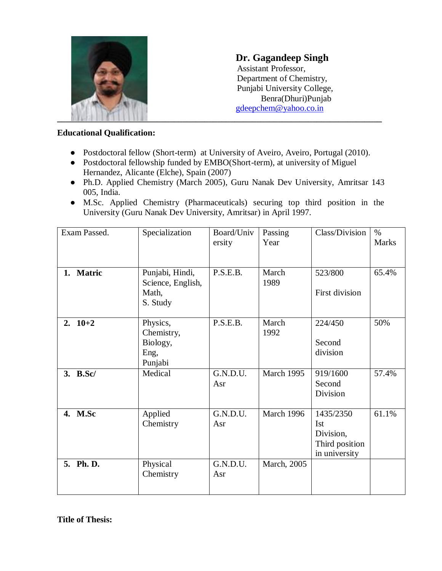

**Dr. Gagandeep Singh** Assistant Professor, Department of Chemistry, Punjabi University College, Benra(Dhuri)Punjab [gdeepchem@yahoo.co.in](mailto:gdeepchem@yahoo.co.in)

### **Educational Qualification:**

- Postdoctoral fellow (Short-term) at University of Aveiro, Aveiro, Portugal (2010).
- Postdoctoral fellowship funded by EMBO(Short-term), at university of Miguel Hernandez, Alicante (Elche), Spain (2007)
- Ph.D. Applied Chemistry (March 2005), Guru Nanak Dev University, Amritsar 143 005, India.
- M.Sc. Applied Chemistry (Pharmaceuticals) securing top third position in the University (Guru Nanak Dev University, Amritsar) in April 1997.

| Exam Passed. | Specialization                                            | Board/Univ<br>ersity | Passing<br>Year | Class/Division                                                          | $\%$<br><b>Marks</b> |
|--------------|-----------------------------------------------------------|----------------------|-----------------|-------------------------------------------------------------------------|----------------------|
| 1. Matric    | Punjabi, Hindi,<br>Science, English,<br>Math,<br>S. Study | P.S.E.B.             | March<br>1989   | 523/800<br>First division                                               | 65.4%                |
| 2. $10+2$    | Physics,<br>Chemistry,<br>Biology,<br>Eng,<br>Punjabi     | P.S.E.B.             | March<br>1992   | 224/450<br>Second<br>division                                           | 50%                  |
| 3. B.Sc/     | Medical                                                   | G.N.D.U.<br>Asr      | March 1995      | 919/1600<br>Second<br>Division                                          | 57.4%                |
| 4. M.Sc      | Applied<br>Chemistry                                      | G.N.D.U.<br>Asr      | March 1996      | 1435/2350<br><b>Ist</b><br>Division,<br>Third position<br>in university | 61.1%                |
| 5. Ph. D.    | Physical<br>Chemistry                                     | G.N.D.U.<br>Asr      | March, 2005     |                                                                         |                      |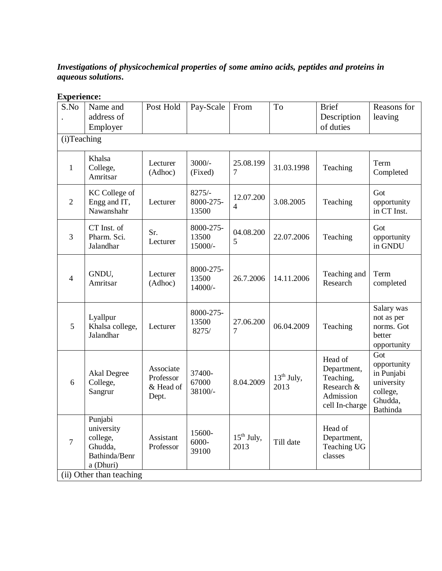# *Investigations of physicochemical properties of some amino acids, peptides and proteins in aqueous solutions***.**

## **Experience:**

| S.No           | Name and<br>address of<br>Employer                                                                     | Post Hold                                    | Pay-Scale                      | From                        | To                   | <b>Brief</b><br>Description<br>of duties                                         | Reasons for<br>leaving                                                            |
|----------------|--------------------------------------------------------------------------------------------------------|----------------------------------------------|--------------------------------|-----------------------------|----------------------|----------------------------------------------------------------------------------|-----------------------------------------------------------------------------------|
| (i)Teaching    |                                                                                                        |                                              |                                |                             |                      |                                                                                  |                                                                                   |
| 1              | Khalsa<br>College,<br>Amritsar                                                                         | Lecturer<br>(Adhoc)                          | $3000/-$<br>(Fixed)            | 25.08.199<br>7              | 31.03.1998           | Teaching                                                                         | Term<br>Completed                                                                 |
| $\overline{2}$ | <b>KC</b> College of<br>Engg and IT,<br>Nawanshahr                                                     | Lecturer                                     | $8275/-$<br>8000-275-<br>13500 | 12.07.200<br>$\overline{4}$ | 3.08.2005            | Teaching                                                                         | Got<br>opportunity<br>in CT Inst.                                                 |
| 3              | CT Inst. of<br>Pharm. Sci.<br>Jalandhar                                                                | Sr.<br>Lecturer                              | 8000-275-<br>13500<br>15000/-  | 04.08.200<br>5              | 22.07.2006           | Teaching                                                                         | Got<br>opportunity<br>in GNDU                                                     |
| $\overline{4}$ | GNDU,<br>Amritsar                                                                                      | Lecturer<br>(Adhoc)                          | 8000-275-<br>13500<br>14000/-  | 26.7.2006                   | 14.11.2006           | Teaching and<br>Research                                                         | Term<br>completed                                                                 |
| 5              | Lyallpur<br>Khalsa college,<br>Jalandhar                                                               | Lecturer                                     | 8000-275-<br>13500<br>8275/    | 27.06.200<br>7              | 06.04.2009           | Teaching                                                                         | Salary was<br>not as per<br>norms. Got<br>better<br>opportunity                   |
| 6              | <b>Akal Degree</b><br>College,<br>Sangrur                                                              | Associate<br>Professor<br>& Head of<br>Dept. | 37400-<br>67000<br>38100/-     | 8.04.2009                   | $13th$ July,<br>2013 | Head of<br>Department,<br>Teaching,<br>Research &<br>Admission<br>cell In-charge | Got<br>opportunity<br>in Punjabi<br>university<br>college,<br>Ghudda,<br>Bathinda |
| 7              | Punjabi<br>university<br>college,<br>Ghudda,<br>Bathinda/Benr<br>a (Dhuri)<br>(ii) Other than teaching | Assistant<br>Professor                       | 15600-<br>6000-<br>39100       | $15th$ July,<br>2013        | Till date            | Head of<br>Department,<br><b>Teaching UG</b><br>classes                          |                                                                                   |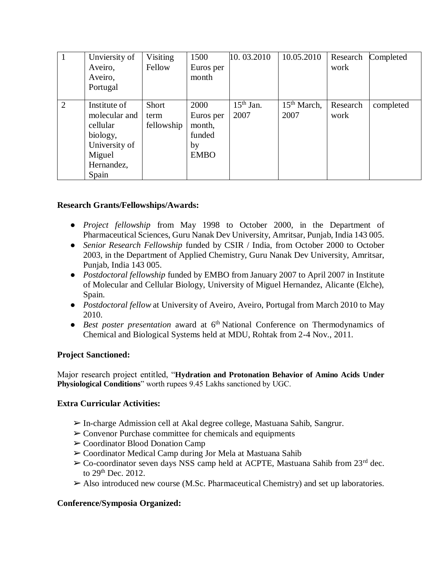|   | Unviersity of<br>Aveiro,<br>Aveiro,<br>Portugal                                                         | Visiting<br>Fellow          | 1500<br>Euros per<br>month                                 | 10.03.2010          | 10.05.2010             | Research<br>work | Completed |
|---|---------------------------------------------------------------------------------------------------------|-----------------------------|------------------------------------------------------------|---------------------|------------------------|------------------|-----------|
| 2 | Institute of<br>molecular and<br>cellular<br>biology,<br>University of<br>Miguel<br>Hernandez,<br>Spain | Short<br>term<br>fellowship | 2000<br>Euros per<br>month,<br>funded<br>by<br><b>EMBO</b> | $15th$ Jan.<br>2007 | $15th March$ ,<br>2007 | Research<br>work | completed |

### **Research Grants/Fellowships/Awards:**

- *Project fellowship* from May 1998 to October 2000, in the Department of Pharmaceutical Sciences, Guru Nanak Dev University, Amritsar, Punjab, India 143 005.
- *Senior Research Fellowship* funded by CSIR / India, from October 2000 to October 2003, in the Department of Applied Chemistry, Guru Nanak Dev University, Amritsar, Punjab, India 143 005.
- *Postdoctoral fellowship* funded by EMBO from January 2007 to April 2007 in Institute of Molecular and Cellular Biology, University of Miguel Hernandez, Alicante (Elche), Spain.
- *Postdoctoral fellow* at University of Aveiro, Aveiro, Portugal from March 2010 to May 2010.
- *Best poster presentation* award at 6<sup>th</sup> National Conference on Thermodynamics of Chemical and Biological Systems held at MDU, Rohtak from 2-4 Nov., 2011.

#### **Project Sanctioned:**

Major research project entitled, "**Hydration and Protonation Behavior of Amino Acids Under Physiological Conditions**" worth rupees 9.45 Lakhs sanctioned by UGC.

## **Extra Curricular Activities:**

- ➢In-charge Admission cell at Akal degree college, Mastuana Sahib, Sangrur.
- $\triangleright$  Convenor Purchase committee for chemicals and equipments
- ➢Coordinator Blood Donation Camp
- ➢Coordinator Medical Camp during Jor Mela at Mastuana Sahib
- $\triangleright$  Co-coordinator seven days NSS camp held at ACPTE, Mastuana Sahib from 23<sup>rd</sup> dec. to 29<sup>th</sup> Dec. 2012.
- ➢Also introduced new course (M.Sc. Pharmaceutical Chemistry) and set up laboratories.

## **Conference/Symposia Organized:**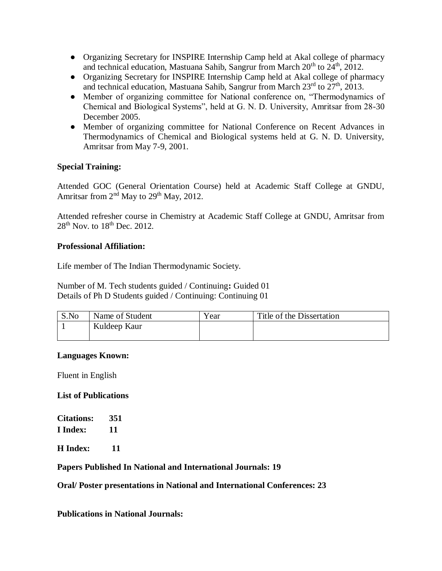- Organizing Secretary for INSPIRE Internship Camp held at Akal college of pharmacy and technical education, Mastuana Sahib, Sangrur from March  $20<sup>th</sup>$  to  $24<sup>th</sup>$ ,  $2012$ .
- Organizing Secretary for INSPIRE Internship Camp held at Akal college of pharmacy and technical education, Mastuana Sahib, Sangrur from March  $23<sup>rd</sup>$  to  $27<sup>th</sup>$ , 2013.
- Member of organizing committee for National conference on, "Thermodynamics of Chemical and Biological Systems", held at G. N. D. University, Amritsar from 28-30 December 2005.
- Member of organizing committee for National Conference on Recent Advances in Thermodynamics of Chemical and Biological systems held at G. N. D. University, Amritsar from May 7-9, 2001.

## **Special Training:**

Attended GOC (General Orientation Course) held at Academic Staff College at GNDU, Amritsar from  $2<sup>nd</sup>$  May to  $29<sup>th</sup>$  May, 2012.

Attended refresher course in Chemistry at Academic Staff College at GNDU, Amritsar from  $28<sup>th</sup>$  Nov. to  $18<sup>th</sup>$  Dec. 2012.

## **Professional Affiliation:**

Life member of The Indian Thermodynamic Society.

Number of M. Tech students guided / Continuing**:** Guided 01 Details of Ph D Students guided / Continuing: Continuing 01

| S.No | Name of Student | Year | Title of the Dissertation |
|------|-----------------|------|---------------------------|
|      | Kuldeep Kaur    |      |                           |
|      |                 |      |                           |

## **Languages Known:**

Fluent in English

#### **List of Publications**

| <b>Citations:</b> | 351 |
|-------------------|-----|
| I Index:          | 11  |
|                   |     |

**H Index: 11**

#### **Papers Published In National and International Journals: 19**

**Oral/ Poster presentations in National and International Conferences: 23**

**Publications in National Journals:**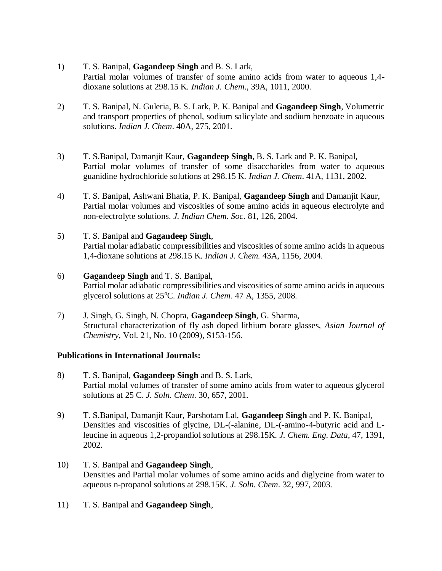- 1) T. S. Banipal, **Gagandeep Singh** and B. S. Lark, Partial molar volumes of transfer of some amino acids from water to aqueous 1,4 dioxane solutions at 298.15 K. *Indian J. Chem*., 39A, 1011, 2000.
- 2) T. S. Banipal, N. Guleria, B. S. Lark, P. K. Banipal and **Gagandeep Singh**, Volumetric and transport properties of phenol, sodium salicylate and sodium benzoate in aqueous solutions. *Indian J. Chem*. 40A, 275, 2001.
- 3) T. S.Banipal, Damanjit Kaur, **Gagandeep Singh**, B. S. Lark and P. K. Banipal, Partial molar volumes of transfer of some disaccharides from water to aqueous guanidine hydrochloride solutions at 298.15 K. *Indian J. Chem*. 41A, 1131, 2002.
- 4) T. S. Banipal, Ashwani Bhatia, P. K. Banipal, **Gagandeep Singh** and Damanjit Kaur, Partial molar volumes and viscosities of some amino acids in aqueous electrolyte and non-electrolyte solutions. *J. Indian Chem. Soc*. 81, 126, 2004.
- 5) T. S. Banipal and **Gagandeep Singh**, Partial molar adiabatic compressibilities and viscosities of some amino acids in aqueous 1,4-dioxane solutions at 298.15 K. *Indian J. Chem.* 43A, 1156, 2004.
- 6) **Gagandeep Singh** and T. S. Banipal, Partial molar adiabatic compressibilities and viscosities of some amino acids in aqueous glycerol solutions at 25°C. *Indian J. Chem.* 47 A, 1355, 2008.
- 7) J. Singh, G. Singh, N. Chopra, **Gagandeep Singh**, G. Sharma, Structural characterization of fly ash doped lithium borate glasses, *Asian Journal of Chemistry,* Vol. 21, No. 10 (2009), S153-156.

#### **Publications in International Journals:**

- 8) T. S. Banipal, **Gagandeep Singh** and B. S. Lark, Partial molal volumes of transfer of some amino acids from water to aqueous glycerol solutions at 25 C. *J. Soln. Chem*. 30, 657, 2001.
- 9) T. S.Banipal, Damanjit Kaur, Parshotam Lal, **Gagandeep Singh** and P. K. Banipal, Densities and viscosities of glycine, DL-(-alanine, DL-(-amino-4-butyric acid and Lleucine in aqueous 1,2-propandiol solutions at 298.15K. *J. Chem. Eng. Data*, 47, 1391, 2002.
- 10) T. S. Banipal and **Gagandeep Singh**, Densities and Partial molar volumes of some amino acids and diglycine from water to aqueous n-propanol solutions at 298.15K. *J. Soln. Chem*. 32, 997, 2003.
- 11) T. S. Banipal and **Gagandeep Singh**,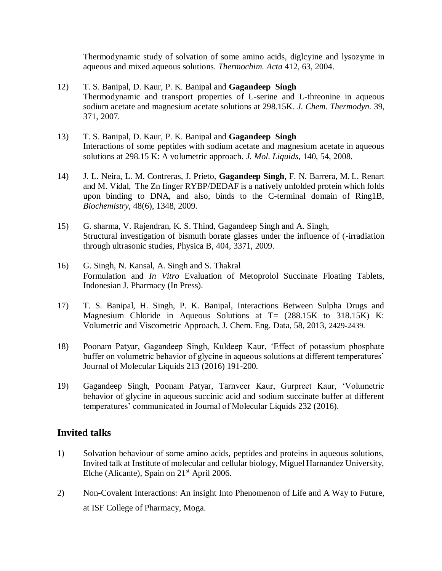Thermodynamic study of solvation of some amino acids, diglcyine and lysozyme in aqueous and mixed aqueous solutions. *Thermochim. Acta* 412, 63, 2004.

- 12) T. S. Banipal, D. Kaur, P. K. Banipal and **Gagandeep Singh** Thermodynamic and transport properties of L-serine and L-threonine in aqueous sodium acetate and magnesium acetate solutions at 298.15K. *J. Chem. Thermodyn.* 39, 371, 2007.
- 13) T. S. Banipal, D. Kaur, P. K. Banipal and **Gagandeep Singh** Interactions of some peptides with sodium acetate and magnesium acetate in aqueous solutions at 298.15 K: A volumetric approach. *J. Mol. Liquids,* 140, 54, 2008.
- 14) J. L. Neira, L. M. Contreras, J. Prieto, **Gagandeep Singh**, F. N. Barrera, M. L. Renart and M. Vidal, The Zn finger RYBP/DEDAF is a natively unfolded protein which folds upon binding to DNA, and also, binds to the C-terminal domain of Ring1B, *Biochemistry*, 48(6), 1348, 2009.
- 15) G. sharma, V. Rajendran, K. S. Thind, Gagandeep Singh and A. Singh, Structural investigation of bismuth borate glasses under the influence of (-irradiation through ultrasonic studies, Physica B, 404, 3371, 2009.
- 16) G. Singh, N. Kansal, A. Singh and S. Thakral Formulation and *In Vitro* Evaluation of Metoprolol Succinate Floating Tablets, Indonesian J. Pharmacy (In Press).
- 17) T. S. Banipal, H. Singh, P. K. Banipal, Interactions Between Sulpha Drugs and Magnesium Chloride in Aqueous Solutions at T= (288.15K to 318.15K) K: Volumetric and Viscometric Approach, J. Chem. Eng. Data, 58, 2013, 2429-2439.
- 18) Poonam Patyar, Gagandeep Singh, Kuldeep Kaur, 'Effect of potassium phosphate buffer on volumetric behavior of glycine in aqueous solutions at different temperatures' Journal of Molecular Liquids 213 (2016) 191-200.
- 19) Gagandeep Singh, Poonam Patyar, Tarnveer Kaur, Gurpreet Kaur, 'Volumetric behavior of glycine in aqueous succinic acid and sodium succinate buffer at different temperatures' communicated in Journal of Molecular Liquids 232 (2016).

## **Invited talks**

- 1) Solvation behaviour of some amino acids, peptides and proteins in aqueous solutions, Invited talk at Institute of molecular and cellular biology, Miguel Harnandez University, Elche (Alicante), Spain on  $21<sup>st</sup>$  April 2006.
- 2) Non-Covalent Interactions: An insight Into Phenomenon of Life and A Way to Future, at ISF College of Pharmacy, Moga.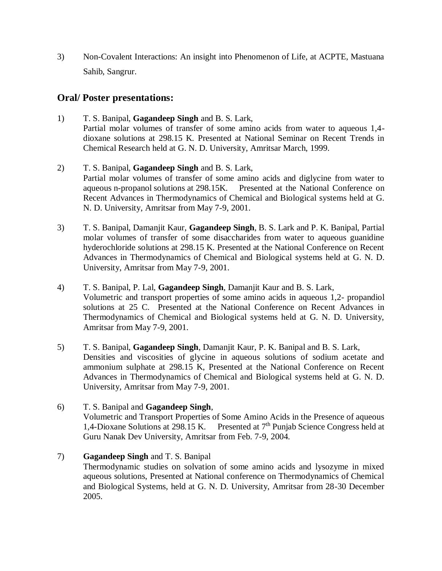3) Non-Covalent Interactions: An insight into Phenomenon of Life, at ACPTE, Mastuana Sahib, Sangrur.

# **Oral/ Poster presentations:**

- 1) T. S. Banipal, **Gagandeep Singh** and B. S. Lark, Partial molar volumes of transfer of some amino acids from water to aqueous 1,4 dioxane solutions at 298.15 K. Presented at National Seminar on Recent Trends in Chemical Research held at G. N. D. University, Amritsar March, 1999.
- 2) T. S. Banipal, **Gagandeep Singh** and B. S. Lark, Partial molar volumes of transfer of some amino acids and diglycine from water to aqueous n-propanol solutions at 298.15K. Presented at the National Conference on Recent Advances in Thermodynamics of Chemical and Biological systems held at G. N. D. University, Amritsar from May 7-9, 2001.
- 3) T. S. Banipal, Damanjit Kaur, **Gagandeep Singh**, B. S. Lark and P. K. Banipal, Partial molar volumes of transfer of some disaccharides from water to aqueous guanidine hyderochloride solutions at 298.15 K. Presented at the National Conference on Recent Advances in Thermodynamics of Chemical and Biological systems held at G. N. D. University, Amritsar from May 7-9, 2001.
- 4) T. S. Banipal, P. Lal, **Gagandeep Singh**, Damanjit Kaur and B. S. Lark, Volumetric and transport properties of some amino acids in aqueous 1,2- propandiol solutions at 25 C. Presented at the National Conference on Recent Advances in Thermodynamics of Chemical and Biological systems held at G. N. D. University, Amritsar from May 7-9, 2001.
- 5) T. S. Banipal, **Gagandeep Singh**, Damanjit Kaur, P. K. Banipal and B. S. Lark, Densities and viscosities of glycine in aqueous solutions of sodium acetate and ammonium sulphate at 298.15 K, Presented at the National Conference on Recent Advances in Thermodynamics of Chemical and Biological systems held at G. N. D. University, Amritsar from May 7-9, 2001.
- 6) T. S. Banipal and **Gagandeep Singh**, Volumetric and Transport Properties of Some Amino Acids in the Presence of aqueous 1,4-Dioxane Solutions at 298.15 K. Presented at  $7<sup>th</sup>$  Punjab Science Congress held at Guru Nanak Dev University, Amritsar from Feb. 7-9, 2004.
- 7) **Gagandeep Singh** and T. S. Banipal

Thermodynamic studies on solvation of some amino acids and lysozyme in mixed aqueous solutions, Presented at National conference on Thermodynamics of Chemical and Biological Systems, held at G. N. D. University, Amritsar from 28-30 December 2005.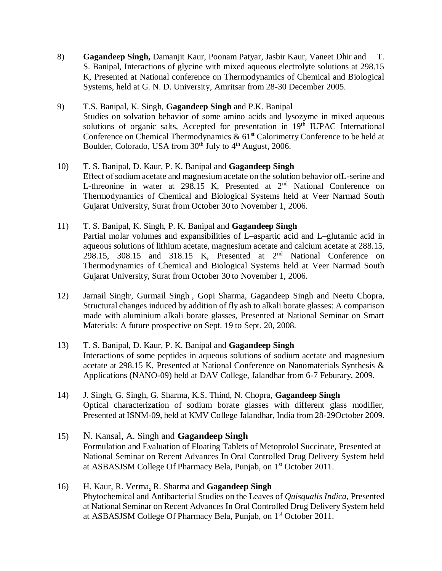8) **Gagandeep Singh,** Damanjit Kaur, Poonam Patyar, Jasbir Kaur, Vaneet Dhir and T. S. Banipal, Interactions of glycine with mixed aqueous electrolyte solutions at 298.15 K, Presented at National conference on Thermodynamics of Chemical and Biological Systems, held at G. N. D. University, Amritsar from 28-30 December 2005.

## 9) T.S. Banipal, K. Singh, **Gagandeep Singh** and P.K. Banipal

Studies on solvation behavior of some amino acids and lysozyme in mixed aqueous solutions of organic salts, Accepted for presentation in 19th IUPAC International Conference on Chemical Thermodynamics  $\& 61<sup>st</sup>$  Calorimetry Conference to be held at Boulder, Colorado, USA from  $30<sup>th</sup>$  July to  $4<sup>th</sup>$  August, 2006.

#### 10) T. S. Banipal, D. Kaur, P. K. Banipal and **Gagandeep Singh** Effect of sodium acetate and magnesium acetate on the solution behavior ofL-serine and L-threonine in water at  $298.15$  K, Presented at  $2<sup>nd</sup>$  National Conference on Thermodynamics of Chemical and Biological Systems held at Veer Narmad South Gujarat University, Surat from October 30 to November 1, 2006.

11) T. S. Banipal, K. Singh, P. K. Banipal and **Gagandeep Singh** Partial molar volumes and expansibilities of L–aspartic acid and L–glutamic acid in aqueous solutions of lithium acetate, magnesium acetate and calcium acetate at 288.15, 298.15, 308.15 and 318.15 K, Presented at  $2<sup>nd</sup>$  National Conference on Thermodynamics of Chemical and Biological Systems held at Veer Narmad South Gujarat University, Surat from October 30 to November 1, 2006.

12) Jarnail Singh, , Gurmail Singh , Gopi Sharma, Gagandeep Singh and Neetu Chopra, Structural changes induced by addition of fly ash to alkali borate glasses: A comparison made with aluminium alkali borate glasses, Presented at National Seminar on Smart Materials: A future prospective on Sept. 19 to Sept. 20, 2008.

### 13) T. S. Banipal, D. Kaur, P. K. Banipal and **Gagandeep Singh** Interactions of some peptides in aqueous solutions of sodium acetate and magnesium acetate at 298.15 K, Presented at National Conference on Nanomaterials Synthesis & Applications (NANO-09) held at DAV College, Jalandhar from 6-7 Feburary, 2009.

14) J. Singh, G. Singh, G. Sharma, K.S. Thind, N. Chopra, **Gagandeep Singh** Optical characterization of sodium borate glasses with different glass modifier, Presented at ISNM-09, held at KMV College Jalandhar, India from 28-29October 2009.

## 15) N. Kansal, A. Singh and **Gagandeep Singh** Formulation and Evaluation of Floating Tablets of Metoprolol Succinate, Presented at National Seminar on Recent Advances In Oral Controlled Drug Delivery System held at ASBASJSM College Of Pharmacy Bela, Punjab, on 1st October 2011.

16) H. Kaur, R. Verma, R. Sharma and **Gagandeep Singh** Phytochemical and Antibacterial Studies on the Leaves of *Quisqualis Indica*, Presented at National Seminar on Recent Advances In Oral Controlled Drug Delivery System held at ASBASJSM College Of Pharmacy Bela, Punjab, on 1st October 2011.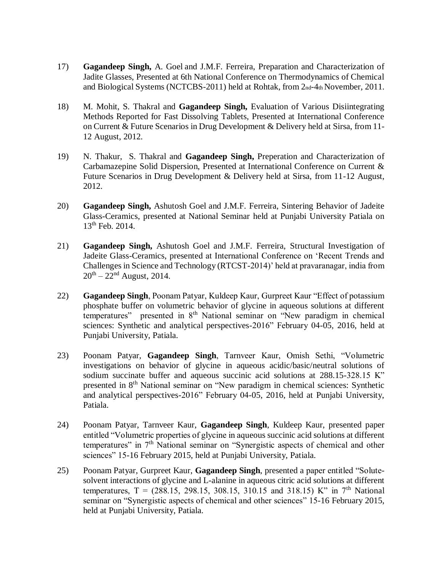- 17) **Gagandeep Singh,** A. Goel and J.M.F. Ferreira, Preparation and Characterization of Jadite Glasses, Presented at 6th National Conference on Thermodynamics of Chemical and Biological Systems (NCTCBS-2011) held at Rohtak, from 2nd-4th November, 2011.
- 18) M. Mohit, S. Thakral and **Gagandeep Singh,** Evaluation of Various Disiintegrating Methods Reported for Fast Dissolving Tablets, Presented at International Conference on Current & Future Scenarios in Drug Development & Delivery held at Sirsa, from 11- 12 August, 2012.
- 19) N. Thakur, S. Thakral and **Gagandeep Singh,** Preperation and Characterization of Carbamazepine Solid Dispersion, Presented at International Conference on Current & Future Scenarios in Drug Development & Delivery held at Sirsa, from 11-12 August, 2012.
- 20) **Gagandeep Singh,** Ashutosh Goel and J.M.F. Ferreira, Sintering Behavior of Jadeite Glass-Ceramics, presented at National Seminar held at Punjabi University Patiala on 13<sup>th</sup> Feb. 2014.
- 21) **Gagandeep Singh,** Ashutosh Goel and J.M.F. Ferreira, Structural Investigation of Jadeite Glass-Ceramics, presented at International Conference on 'Recent Trends and Challenges in Science and Technology (RTCST-2014)' held at pravaranagar, india from  $20^{th} - 22^{nd}$  August, 2014.
- 22) **Gagandeep Singh**, Poonam Patyar, Kuldeep Kaur, Gurpreet Kaur "Effect of potassium phosphate buffer on volumetric behavior of glycine in aqueous solutions at different temperatures" presented in  $8<sup>th</sup>$  National seminar on "New paradigm in chemical sciences: Synthetic and analytical perspectives-2016" February 04-05, 2016, held at Punjabi University, Patiala.
- 23) Poonam Patyar, **Gagandeep Singh**, Tarnveer Kaur, Omish Sethi, "Volumetric investigations on behavior of glycine in aqueous acidic/basic/neutral solutions of sodium succinate buffer and aqueous succinic acid solutions at 288.15-328.15 K" presented in 8th National seminar on "New paradigm in chemical sciences: Synthetic and analytical perspectives-2016" February 04-05, 2016, held at Punjabi University, Patiala.
- 24) Poonam Patyar, Tarnveer Kaur, **Gagandeep Singh**, Kuldeep Kaur, presented paper entitled "Volumetric properties of glycine in aqueous succinic acid solutions at different temperatures" in 7th National seminar on "Synergistic aspects of chemical and other sciences" 15-16 February 2015, held at Punjabi University, Patiala.
- 25) Poonam Patyar, Gurpreet Kaur, **Gagandeep Singh**, presented a paper entitled "Solutesolvent interactions of glycine and L-alanine in aqueous citric acid solutions at different temperatures,  $T = (288.15, 298.15, 308.15, 310.15, 318.15)$  K" in 7<sup>th</sup> National seminar on "Synergistic aspects of chemical and other sciences" 15-16 February 2015, held at Punjabi University, Patiala.